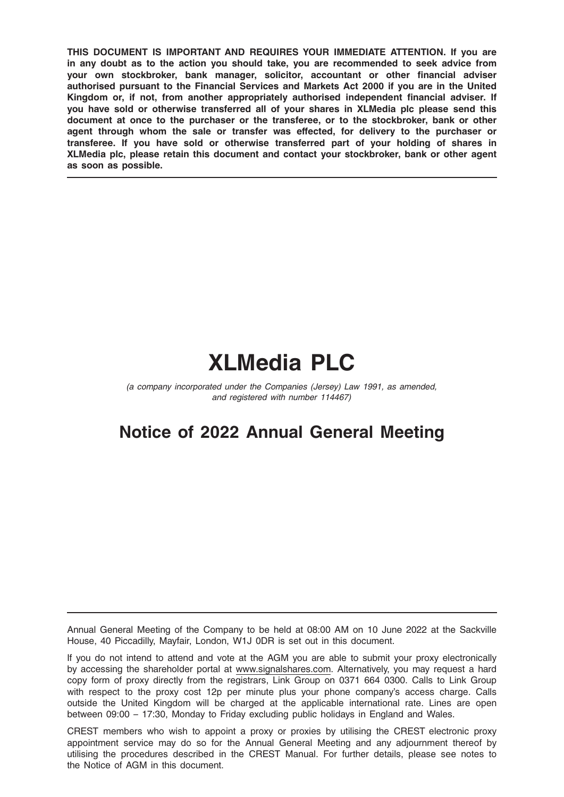THIS DOCUMENT IS IMPORTANT AND REQUIRES YOUR IMMEDIATE ATTENTION. If you are in any doubt as to the action you should take, you are recommended to seek advice from your own stockbroker, bank manager, solicitor, accountant or other financial adviser authorised pursuant to the Financial Services and Markets Act 2000 if you are in the United Kingdom or, if not, from another appropriately authorised independent financial adviser. If you have sold or otherwise transferred all of your shares in XLMedia plc please send this document at once to the purchaser or the transferee, or to the stockbroker, bank or other agent through whom the sale or transfer was effected, for delivery to the purchaser or transferee. If you have sold or otherwise transferred part of your holding of shares in XLMedia plc, please retain this document and contact your stockbroker, bank or other agent as soon as possible.

# XLMedia PLC

(a company incorporated under the Companies (Jersey) Law 1991, as amended, and registered with number 114467)

## Notice of 2022 Annual General Meeting

Annual General Meeting of the Company to be held at 08:00 AM on 10 June 2022 at the Sackville House, 40 Piccadilly, Mayfair, London, W1J 0DR is set out in this document.

If you do not intend to attend and vote at the AGM you are able to submit your proxy electronically by accessing the shareholder portal at www.signalshares.com. Alternatively, you may request a hard copy form of proxy directly from the registrars, Link Group on 0371 664 0300. Calls to Link Group with respect to the proxy cost 12p per minute plus your phone company's access charge. Calls outside the United Kingdom will be charged at the applicable international rate. Lines are open between 09:00 – 17:30, Monday to Friday excluding public holidays in England and Wales.

CREST members who wish to appoint a proxy or proxies by utilising the CREST electronic proxy appointment service may do so for the Annual General Meeting and any adjournment thereof by utilising the procedures described in the CREST Manual. For further details, please see notes to the Notice of AGM in this document.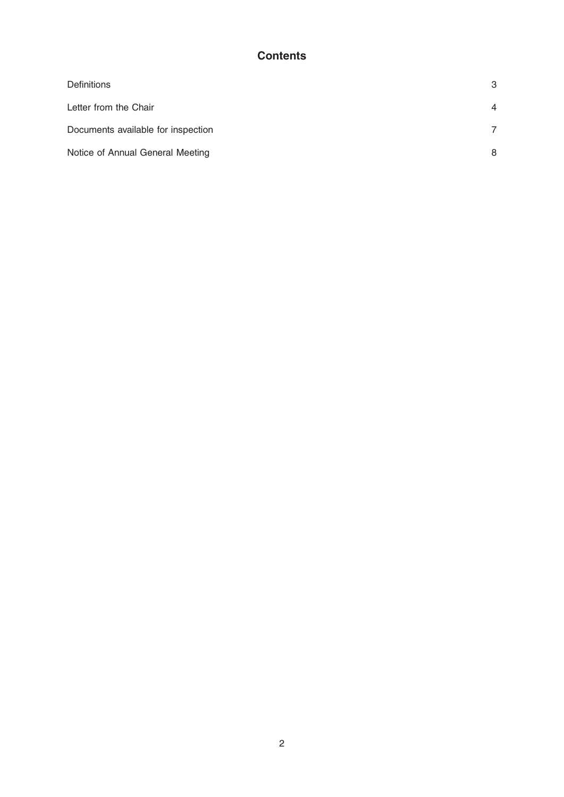## **Contents**

| <b>Definitions</b>                 | 3              |
|------------------------------------|----------------|
| Letter from the Chair              | $\overline{4}$ |
| Documents available for inspection | 7              |
| Notice of Annual General Meeting   | 8              |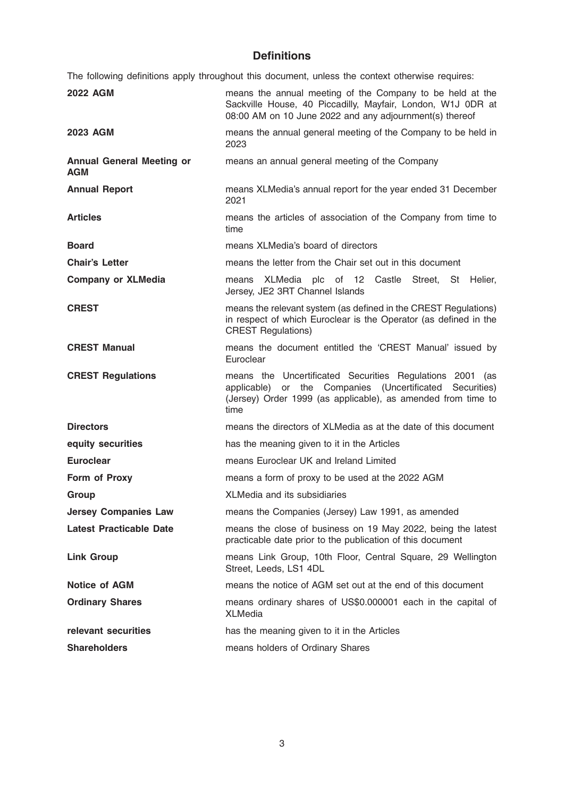## Definitions

The following definitions apply throughout this document, unless the context otherwise requires:

| <b>2022 AGM</b>                                | means the annual meeting of the Company to be held at the<br>Sackville House, 40 Piccadilly, Mayfair, London, W1J ODR at<br>08:00 AM on 10 June 2022 and any adjournment(s) thereof             |
|------------------------------------------------|-------------------------------------------------------------------------------------------------------------------------------------------------------------------------------------------------|
| <b>2023 AGM</b>                                | means the annual general meeting of the Company to be held in<br>2023                                                                                                                           |
| <b>Annual General Meeting or</b><br><b>AGM</b> | means an annual general meeting of the Company                                                                                                                                                  |
| <b>Annual Report</b>                           | means XLMedia's annual report for the year ended 31 December<br>2021                                                                                                                            |
| <b>Articles</b>                                | means the articles of association of the Company from time to<br>time                                                                                                                           |
| <b>Board</b>                                   | means XLMedia's board of directors                                                                                                                                                              |
| <b>Chair's Letter</b>                          | means the letter from the Chair set out in this document                                                                                                                                        |
| <b>Company or XLMedia</b>                      | XLMedia plc of 12 Castle Street, St Helier,<br>means<br>Jersey, JE2 3RT Channel Islands                                                                                                         |
| <b>CREST</b>                                   | means the relevant system (as defined in the CREST Regulations)<br>in respect of which Euroclear is the Operator (as defined in the<br><b>CREST Regulations)</b>                                |
| <b>CREST Manual</b>                            | means the document entitled the 'CREST Manual' issued by<br>Euroclear                                                                                                                           |
| <b>CREST Regulations</b>                       | means the Uncertificated Securities Regulations 2001<br>(as<br>applicable) or the Companies (Uncertificated Securities)<br>(Jersey) Order 1999 (as applicable), as amended from time to<br>time |
| <b>Directors</b>                               | means the directors of XLMedia as at the date of this document                                                                                                                                  |
| equity securities                              | has the meaning given to it in the Articles                                                                                                                                                     |
| <b>Euroclear</b>                               | means Euroclear UK and Ireland Limited                                                                                                                                                          |
| Form of Proxy                                  | means a form of proxy to be used at the 2022 AGM                                                                                                                                                |
| Group                                          | XLMedia and its subsidiaries                                                                                                                                                                    |
| <b>Jersey Companies Law</b>                    | means the Companies (Jersey) Law 1991, as amended                                                                                                                                               |
| <b>Latest Practicable Date</b>                 | means the close of business on 19 May 2022, being the latest<br>practicable date prior to the publication of this document                                                                      |
| <b>Link Group</b>                              | means Link Group, 10th Floor, Central Square, 29 Wellington<br>Street, Leeds, LS1 4DL                                                                                                           |
| <b>Notice of AGM</b>                           |                                                                                                                                                                                                 |
|                                                | means the notice of AGM set out at the end of this document                                                                                                                                     |
| <b>Ordinary Shares</b>                         | means ordinary shares of US\$0.000001 each in the capital of<br><b>XLMedia</b>                                                                                                                  |
| relevant securities                            | has the meaning given to it in the Articles                                                                                                                                                     |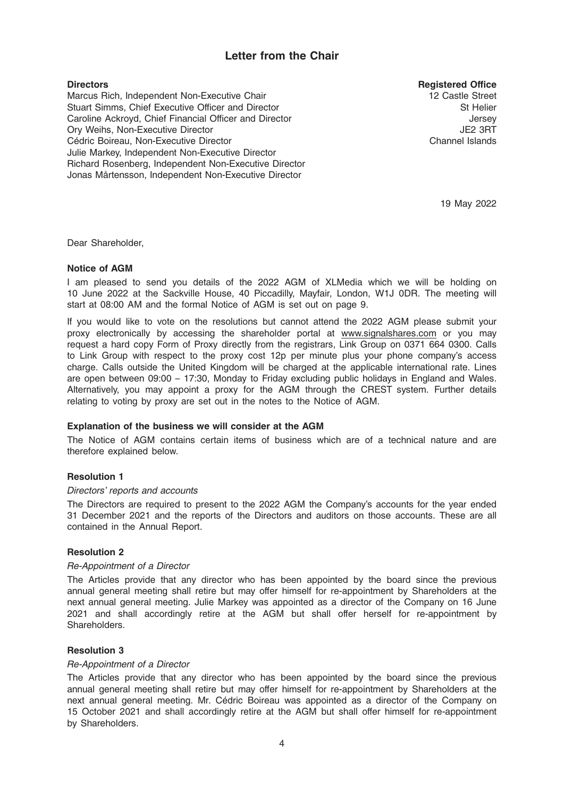## Letter from the Chair

#### **Directors**

Marcus Rich, Independent Non-Executive Chair Stuart Simms, Chief Executive Officer and Director Caroline Ackroyd, Chief Financial Officer and Director Ory Weihs, Non-Executive Director Cédric Boireau, Non-Executive Director Julie Markey, Independent Non-Executive Director Richard Rosenberg, Independent Non-Executive Director Jonas Mårtensson, Independent Non-Executive Director

Registered Office

12 Castle Street St Helier Jersey JE2 3RT Channel Islands

19 May 2022

Dear Shareholder,

#### Notice of AGM

I am pleased to send you details of the 2022 AGM of XLMedia which we will be holding on 10 June 2022 at the Sackville House, 40 Piccadilly, Mayfair, London, W1J 0DR. The meeting will start at 08:00 AM and the formal Notice of AGM is set out on page 9.

If you would like to vote on the resolutions but cannot attend the 2022 AGM please submit your proxy electronically by accessing the shareholder portal at www.signalshares.com or you may request a hard copy Form of Proxy directly from the registrars, Link Group on 0371 664 0300. Calls to Link Group with respect to the proxy cost 12p per minute plus your phone company's access charge. Calls outside the United Kingdom will be charged at the applicable international rate. Lines are open between 09:00 – 17:30, Monday to Friday excluding public holidays in England and Wales. Alternatively, you may appoint a proxy for the AGM through the CREST system. Further details relating to voting by proxy are set out in the notes to the Notice of AGM.

#### Explanation of the business we will consider at the AGM

The Notice of AGM contains certain items of business which are of a technical nature and are therefore explained below.

#### Resolution 1

#### Directors' reports and accounts

The Directors are required to present to the 2022 AGM the Company's accounts for the year ended 31 December 2021 and the reports of the Directors and auditors on those accounts. These are all contained in the Annual Report.

#### Resolution 2

#### Re-Appointment of a Director

The Articles provide that any director who has been appointed by the board since the previous annual general meeting shall retire but may offer himself for re-appointment by Shareholders at the next annual general meeting. Julie Markey was appointed as a director of the Company on 16 June 2021 and shall accordingly retire at the AGM but shall offer herself for re-appointment by Shareholders.

#### Resolution 3

#### Re-Appointment of a Director

The Articles provide that any director who has been appointed by the board since the previous annual general meeting shall retire but may offer himself for re-appointment by Shareholders at the next annual general meeting. Mr. Cédric Boireau was appointed as a director of the Company on 15 October 2021 and shall accordingly retire at the AGM but shall offer himself for re-appointment by Shareholders.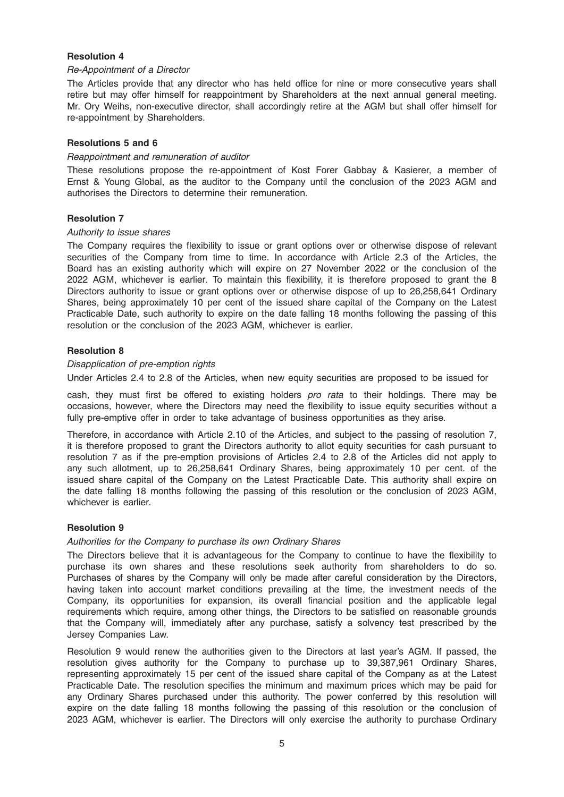#### Resolution 4

#### Re-Appointment of a Director

The Articles provide that any director who has held office for nine or more consecutive years shall retire but may offer himself for reappointment by Shareholders at the next annual general meeting. Mr. Ory Weihs, non-executive director, shall accordingly retire at the AGM but shall offer himself for re-appointment by Shareholders.

#### Resolutions 5 and 6

#### Reappointment and remuneration of auditor

These resolutions propose the re-appointment of Kost Forer Gabbay & Kasierer, a member of Ernst & Young Global, as the auditor to the Company until the conclusion of the 2023 AGM and authorises the Directors to determine their remuneration.

#### Resolution 7

#### Authority to issue shares

The Company requires the flexibility to issue or grant options over or otherwise dispose of relevant securities of the Company from time to time. In accordance with Article 2.3 of the Articles, the Board has an existing authority which will expire on 27 November 2022 or the conclusion of the 2022 AGM, whichever is earlier. To maintain this flexibility, it is therefore proposed to grant the 8 Directors authority to issue or grant options over or otherwise dispose of up to 26,258,641 Ordinary Shares, being approximately 10 per cent of the issued share capital of the Company on the Latest Practicable Date, such authority to expire on the date falling 18 months following the passing of this resolution or the conclusion of the 2023 AGM, whichever is earlier.

#### Resolution 8

#### Disapplication of pre-emption rights

Under Articles 2.4 to 2.8 of the Articles, when new equity securities are proposed to be issued for

cash, they must first be offered to existing holders pro rata to their holdings. There may be occasions, however, where the Directors may need the flexibility to issue equity securities without a fully pre-emptive offer in order to take advantage of business opportunities as they arise.

Therefore, in accordance with Article 2.10 of the Articles, and subject to the passing of resolution 7, it is therefore proposed to grant the Directors authority to allot equity securities for cash pursuant to resolution 7 as if the pre-emption provisions of Articles 2.4 to 2.8 of the Articles did not apply to any such allotment, up to 26,258,641 Ordinary Shares, being approximately 10 per cent. of the issued share capital of the Company on the Latest Practicable Date. This authority shall expire on the date falling 18 months following the passing of this resolution or the conclusion of 2023 AGM, whichever is earlier.

#### Resolution 9

#### Authorities for the Company to purchase its own Ordinary Shares

The Directors believe that it is advantageous for the Company to continue to have the flexibility to purchase its own shares and these resolutions seek authority from shareholders to do so. Purchases of shares by the Company will only be made after careful consideration by the Directors, having taken into account market conditions prevailing at the time, the investment needs of the Company, its opportunities for expansion, its overall financial position and the applicable legal requirements which require, among other things, the Directors to be satisfied on reasonable grounds that the Company will, immediately after any purchase, satisfy a solvency test prescribed by the Jersey Companies Law.

Resolution 9 would renew the authorities given to the Directors at last year's AGM. If passed, the resolution gives authority for the Company to purchase up to 39,387,961 Ordinary Shares, representing approximately 15 per cent of the issued share capital of the Company as at the Latest Practicable Date. The resolution specifies the minimum and maximum prices which may be paid for any Ordinary Shares purchased under this authority. The power conferred by this resolution will expire on the date falling 18 months following the passing of this resolution or the conclusion of 2023 AGM, whichever is earlier. The Directors will only exercise the authority to purchase Ordinary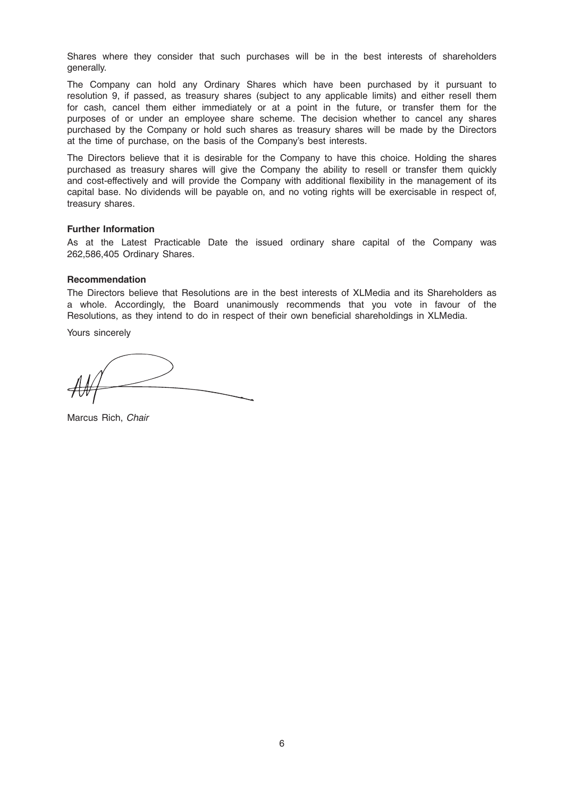Shares where they consider that such purchases will be in the best interests of shareholders generally.

The Company can hold any Ordinary Shares which have been purchased by it pursuant to resolution 9, if passed, as treasury shares (subject to any applicable limits) and either resell them for cash, cancel them either immediately or at a point in the future, or transfer them for the purposes of or under an employee share scheme. The decision whether to cancel any shares purchased by the Company or hold such shares as treasury shares will be made by the Directors at the time of purchase, on the basis of the Company's best interests.

The Directors believe that it is desirable for the Company to have this choice. Holding the shares purchased as treasury shares will give the Company the ability to resell or transfer them quickly and cost-effectively and will provide the Company with additional flexibility in the management of its capital base. No dividends will be payable on, and no voting rights will be exercisable in respect of, treasury shares.

#### Further Information

As at the Latest Practicable Date the issued ordinary share capital of the Company was 262,586,405 Ordinary Shares.

#### Recommendation

The Directors believe that Resolutions are in the best interests of XLMedia and its Shareholders as a whole. Accordingly, the Board unanimously recommends that you vote in favour of the Resolutions, as they intend to do in respect of their own beneficial shareholdings in XLMedia.

Yours sincerely

Marcus Rich, Chair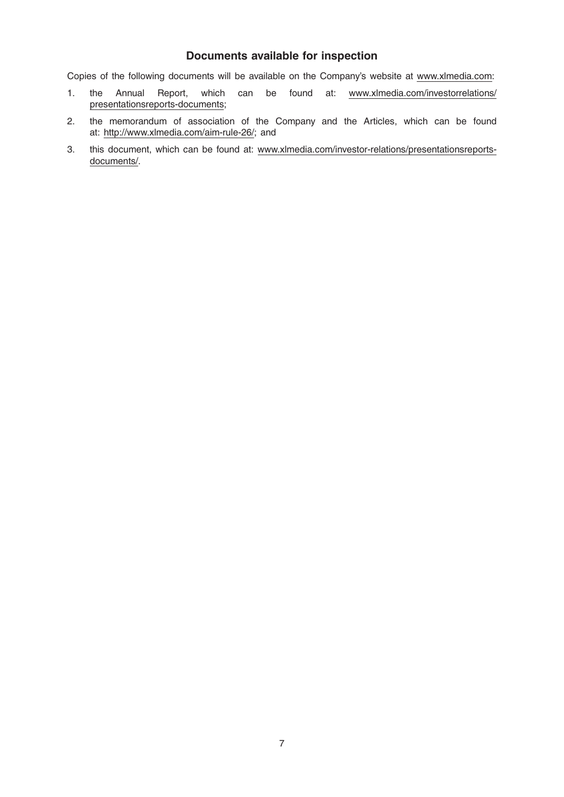## Documents available for inspection

Copies of the following documents will be available on the Company's website at www.xlmedia.com:

- 1. the Annual Report, which can be found at: www.xlmedia.com/investorrelations/ presentationsreports-documents;
- 2. the memorandum of association of the Company and the Articles, which can be found at: http://www.xlmedia.com/aim-rule-26/; and
- 3. this document, which can be found at: www.xlmedia.com/investor-relations/presentationsreportsdocuments/.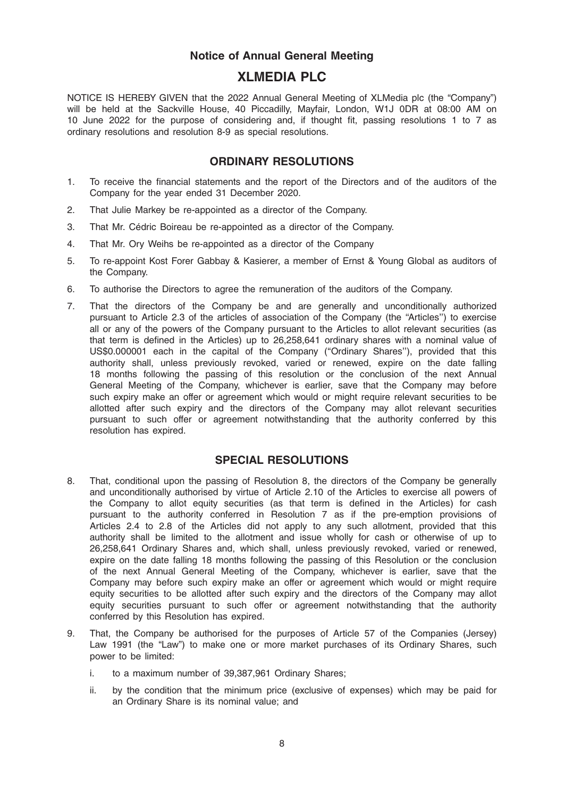## Notice of Annual General Meeting

## XLMEDIA PLC

NOTICE IS HEREBY GIVEN that the 2022 Annual General Meeting of XLMedia plc (the "Company") will be held at the Sackville House, 40 Piccadilly, Mayfair, London, W1J 0DR at 08:00 AM on 10 June 2022 for the purpose of considering and, if thought fit, passing resolutions 1 to 7 as ordinary resolutions and resolution 8-9 as special resolutions.

## ORDINARY RESOLUTIONS

- 1. To receive the financial statements and the report of the Directors and of the auditors of the Company for the year ended 31 December 2020.
- 2. That Julie Markey be re-appointed as a director of the Company.
- 3. That Mr. Cédric Boireau be re-appointed as a director of the Company.
- 4. That Mr. Ory Weihs be re-appointed as a director of the Company
- 5. To re-appoint Kost Forer Gabbay & Kasierer, a member of Ernst & Young Global as auditors of the Company.
- 6. To authorise the Directors to agree the remuneration of the auditors of the Company.
- 7. That the directors of the Company be and are generally and unconditionally authorized pursuant to Article 2.3 of the articles of association of the Company (the ''Articles'') to exercise all or any of the powers of the Company pursuant to the Articles to allot relevant securities (as that term is defined in the Articles) up to 26,258,641 ordinary shares with a nominal value of US\$0.000001 each in the capital of the Company (''Ordinary Shares''), provided that this authority shall, unless previously revoked, varied or renewed, expire on the date falling 18 months following the passing of this resolution or the conclusion of the next Annual General Meeting of the Company, whichever is earlier, save that the Company may before such expiry make an offer or agreement which would or might require relevant securities to be allotted after such expiry and the directors of the Company may allot relevant securities pursuant to such offer or agreement notwithstanding that the authority conferred by this resolution has expired.

## SPECIAL RESOLUTIONS

- 8. That, conditional upon the passing of Resolution 8, the directors of the Company be generally and unconditionally authorised by virtue of Article 2.10 of the Articles to exercise all powers of the Company to allot equity securities (as that term is defined in the Articles) for cash pursuant to the authority conferred in Resolution 7 as if the pre-emption provisions of Articles 2.4 to 2.8 of the Articles did not apply to any such allotment, provided that this authority shall be limited to the allotment and issue wholly for cash or otherwise of up to 26,258,641 Ordinary Shares and, which shall, unless previously revoked, varied or renewed, expire on the date falling 18 months following the passing of this Resolution or the conclusion of the next Annual General Meeting of the Company, whichever is earlier, save that the Company may before such expiry make an offer or agreement which would or might require equity securities to be allotted after such expiry and the directors of the Company may allot equity securities pursuant to such offer or agreement notwithstanding that the authority conferred by this Resolution has expired.
- 9. That, the Company be authorised for the purposes of Article 57 of the Companies (Jersey) Law 1991 (the "Law") to make one or more market purchases of its Ordinary Shares, such power to be limited:
	- i. to a maximum number of 39,387,961 Ordinary Shares;
	- ii. by the condition that the minimum price (exclusive of expenses) which may be paid for an Ordinary Share is its nominal value; and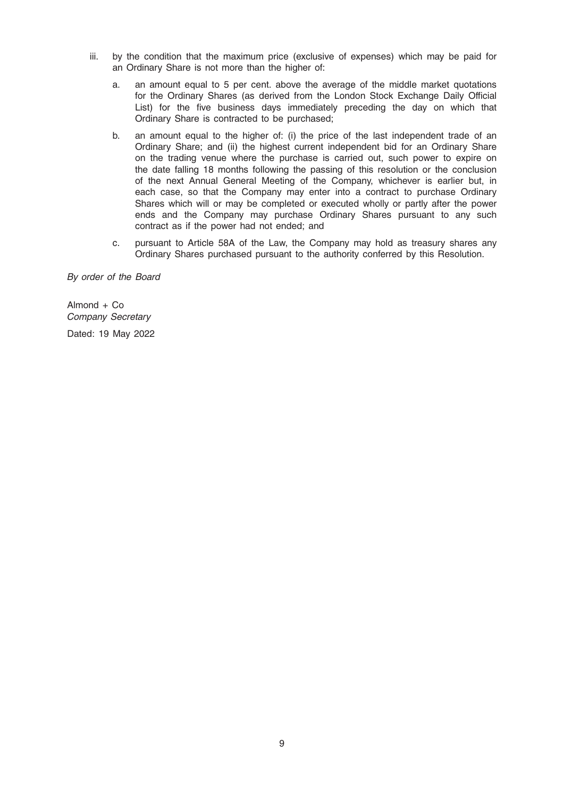- iii. by the condition that the maximum price (exclusive of expenses) which may be paid for an Ordinary Share is not more than the higher of:
	- a. an amount equal to 5 per cent. above the average of the middle market quotations for the Ordinary Shares (as derived from the London Stock Exchange Daily Official List) for the five business days immediately preceding the day on which that Ordinary Share is contracted to be purchased;
	- b. an amount equal to the higher of: (i) the price of the last independent trade of an Ordinary Share; and (ii) the highest current independent bid for an Ordinary Share on the trading venue where the purchase is carried out, such power to expire on the date falling 18 months following the passing of this resolution or the conclusion of the next Annual General Meeting of the Company, whichever is earlier but, in each case, so that the Company may enter into a contract to purchase Ordinary Shares which will or may be completed or executed wholly or partly after the power ends and the Company may purchase Ordinary Shares pursuant to any such contract as if the power had not ended; and
	- c. pursuant to Article 58A of the Law, the Company may hold as treasury shares any Ordinary Shares purchased pursuant to the authority conferred by this Resolution.

By order of the Board

Almond + Co Company Secretary Dated: 19 May 2022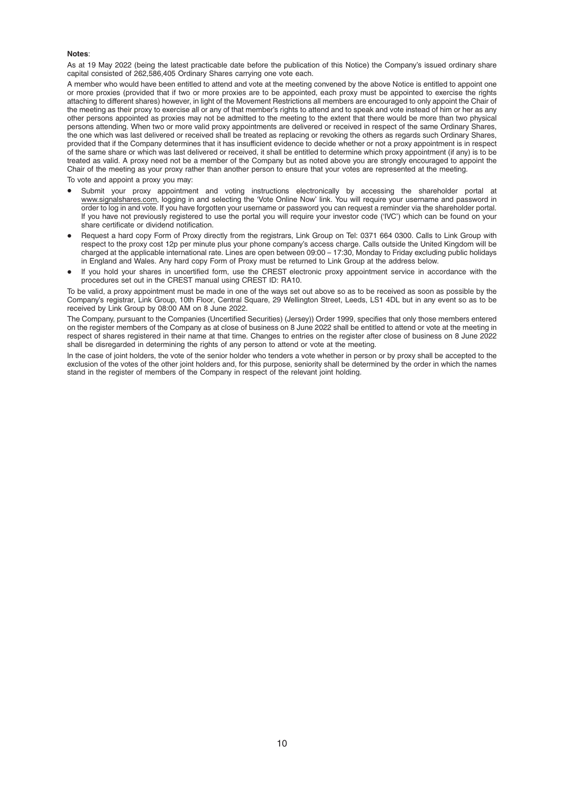#### Notes:

As at 19 May 2022 (being the latest practicable date before the publication of this Notice) the Company's issued ordinary share capital consisted of 262,586,405 Ordinary Shares carrying one vote each.

A member who would have been entitled to attend and vote at the meeting convened by the above Notice is entitled to appoint one or more proxies (provided that if two or more proxies are to be appointed, each proxy must be appointed to exercise the rights attaching to different shares) however, in light of the Movement Restrictions all members are encouraged to only appoint the Chair of the meeting as their proxy to exercise all or any of that member's rights to attend and to speak and vote instead of him or her as any other persons appointed as proxies may not be admitted to the meeting to the extent that there would be more than two physical persons attending. When two or more valid proxy appointments are delivered or received in respect of the same Ordinary Shares, the one which was last delivered or received shall be treated as replacing or revoking the others as regards such Ordinary Shares, provided that if the Company determines that it has insufficient evidence to decide whether or not a proxy appointment is in respect of the same share or which was last delivered or received, it shall be entitled to determine which proxy appointment (if any) is to be treated as valid. A proxy need not be a member of the Company but as noted above you are strongly encouraged to appoint the Chair of the meeting as your proxy rather than another person to ensure that your votes are represented at the meeting.

To vote and appoint a proxy you may:

- Submit your proxy appointment and voting instructions electronically by accessing the shareholder portal at www.signalshares.com, logging in and selecting the 'Vote Online Now' link. You will require your username and password in order to log in and vote. If you have forgotten your username or password you can request a reminder via the shareholder portal. If you have not previously registered to use the portal you will require your investor code ('IVC') which can be found on your share certificate or dividend notification.
- Request a hard copy Form of Proxy directly from the registrars, Link Group on Tel: 0371 664 0300. Calls to Link Group with respect to the proxy cost 12p per minute plus your phone company's access charge. Calls outside the United Kingdom will be charged at the applicable international rate. Lines are open between 09:00 – 17:30, Monday to Friday excluding public holidays in England and Wales. Any hard copy Form of Proxy must be returned to Link Group at the address below.
- If you hold your shares in uncertified form, use the CREST electronic proxy appointment service in accordance with the procedures set out in the CREST manual using CREST ID: RA10.

To be valid, a proxy appointment must be made in one of the ways set out above so as to be received as soon as possible by the Company's registrar, Link Group, 10th Floor, Central Square, 29 Wellington Street, Leeds, LS1 4DL but in any event so as to be received by Link Group by 08:00 AM on 8 June 2022.

The Company, pursuant to the Companies (Uncertified Securities) (Jersey)) Order 1999, specifies that only those members entered on the register members of the Company as at close of business on 8 June 2022 shall be entitled to attend or vote at the meeting in respect of shares registered in their name at that time. Changes to entries on the register after close of business on 8 June 2022 shall be disregarded in determining the rights of any person to attend or vote at the meeting.

In the case of joint holders, the vote of the senior holder who tenders a vote whether in person or by proxy shall be accepted to the exclusion of the votes of the other joint holders and, for this purpose, seniority shall be determined by the order in which the names stand in the register of members of the Company in respect of the relevant joint holding.